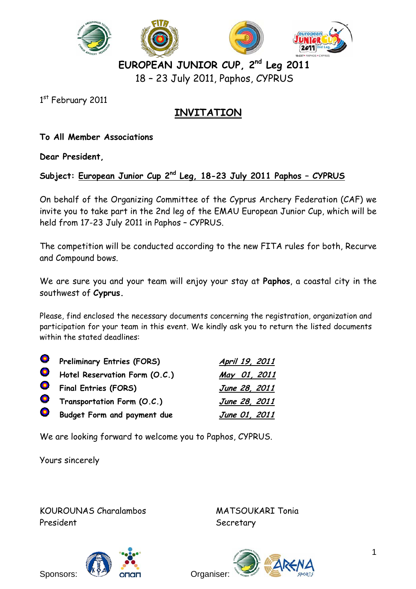

**EUROPEAN JUNIOR CUP, 2nd Leg 2011**  18 – 23 July 2011, Paphos, CYPRUS

1st February 2011

# **INVITATION**

**To All Member Associations** 

**Dear President,** 

**Subject: European Junior Cup 2nd Leg, 18-23 July 2011 Paphos – CYPRUS**

On behalf of the Organizing Committee of the Cyprus Archery Federation (CAF) we invite you to take part in the 2nd leg of the EMAU European Junior Cup, which will be held from 17-23 July 2011 in Paphos – CYPRUS.

The competition will be conducted according to the new FITA rules for both, Recurve and Compound bows.

We are sure you and your team will enjoy your stay at **Paphos**, a coastal city in the southwest of **Cyprus.**

Please, find enclosed the necessary documents concerning the registration, organization and participation for your team in this event. We kindly ask you to return the listed documents within the stated deadlines:

|           | <b>O</b> Preliminary Entries (FORS) | April 19, 2011 |
|-----------|-------------------------------------|----------------|
|           | Hotel Reservation Form (O.C.)       | May 01, 2011   |
|           | <b>O</b> Final Entries (FORS)       | June 28, 2011  |
|           | <b>O</b> Transportation Form (O.C.) | June 28, 2011  |
| $\bullet$ | Budget Form and payment due         | June 01, 2011  |

We are looking forward to welcome you to Paphos, CYPRUS.

Yours sincerely

KOUROUNAS Charalambos MATSOUKARI Tonia President Secretary



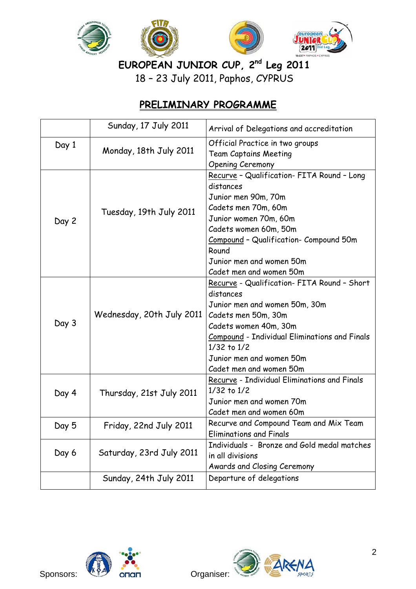

EUROPEAN JUNIOR CUP, 2<sup>nd</sup> Leg 2011

18 – 23 July 2011, Paphos, CYPRUS

# **PRELIMINARY PROGRAMME**

|                                                                              | Sunday, 17 July 2011     | Arrival of Delegations and accreditation                                                                                                                                                                                                                                |  |
|------------------------------------------------------------------------------|--------------------------|-------------------------------------------------------------------------------------------------------------------------------------------------------------------------------------------------------------------------------------------------------------------------|--|
| Day 1<br>Monday, 18th July 2011                                              |                          | Official Practice in two groups<br><b>Team Captains Meeting</b><br><b>Opening Ceremony</b>                                                                                                                                                                              |  |
| Day 2                                                                        | Tuesday, 19th July 2011  | Recurve - Qualification- FITA Round - Long<br>distances<br>Junior men 90m, 70m<br>Cadets men 70m, 60m<br>Junior women 70m, 60m<br>Cadets women 60m, 50m<br>Compound - Qualification- Compound 50m<br>Round<br>Junior men and women 50m<br>Cadet men and women 50m       |  |
| Wednesday, 20th July 2011<br>Day 3                                           |                          | Recurve - Qualification- FITA Round - Short<br>distances<br>Junior men and women 50m, 30m<br>Cadets men 50m, 30m<br>Cadets women 40m, 30m<br><b>Compound</b> - Individual Eliminations and Finals<br>1/32 to 1/2<br>Junior men and women 50m<br>Cadet men and women 50m |  |
| 1/32 to 1/2<br>Day 4<br>Thursday, 21st July 2011<br>Junior men and women 70m |                          | Recurve - Individual Eliminations and Finals<br>Cadet men and women 60m                                                                                                                                                                                                 |  |
| Day 5                                                                        | Friday, 22nd July 2011   | Recurve and Compound Team and Mix Team<br><b>Eliminations and Finals</b>                                                                                                                                                                                                |  |
| Day 6                                                                        | Saturday, 23rd July 2011 | Individuals - Bronze and Gold medal matches<br>in all divisions<br>Awards and Closing Ceremony                                                                                                                                                                          |  |
|                                                                              | Sunday, 24th July 2011   | Departure of delegations                                                                                                                                                                                                                                                |  |



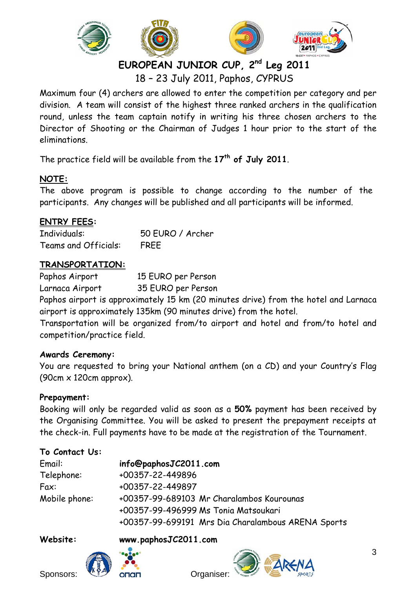

18 – 23 July 2011, Paphos, CYPRUS

Maximum four (4) archers are allowed to enter the competition per category and per division. A team will consist of the highest three ranked archers in the qualification round, unless the team captain notify in writing his three chosen archers to the Director of Shooting or the Chairman of Judges 1 hour prior to the start of the eliminations.

The practice field will be available from the **17th of July 2011**.

# **NOTE:**

The above program is possible to change according to the number of the participants. Any changes will be published and all participants will be informed.

# **ENTRY FEES:**

Individuals: 50 EURO / Archer Teams and Officials: FREE

# **TRANSPORTATION:**

Paphos Airport 15 EURO per Person

Larnaca Airport 35 EURO per Person

Paphos airport is approximately 15 km (20 minutes drive) from the hotel and Larnaca airport is approximately 135km (90 minutes drive) from the hotel.

Transportation will be organized from/to airport and hotel and from/to hotel and competition/practice field.

# **Awards Ceremony:**

You are requested to bring your National anthem (on a CD) and your Country's Flag (90cm x 120cm approx).

# **Prepayment:**

Booking will only be regarded valid as soon as a **50%** payment has been received by the Organising Committee. You will be asked to present the prepayment receipts at the check-in. Full payments have to be made at the registration of the Tournament.

# **To Contact Us:**

| Email:        | info@paphosJC2011.com                              |
|---------------|----------------------------------------------------|
| Telephone:    | +00357-22-449896                                   |
| Fax:          | +00357-22-449897                                   |
| Mobile phone: | +00357-99-689103 Mr Charalambos Kourounas          |
|               | +00357-99-496999 Ms Tonia Matsoukari               |
|               | +00357-99-699191 Mrs Dia Charalambous ARENA Sports |

# **Website: www.paphosJC2011.com**



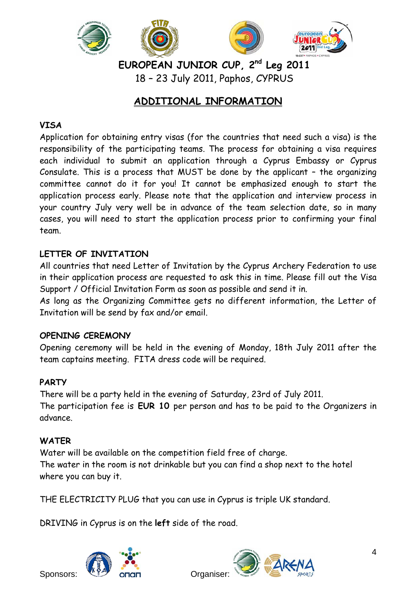

**EUROPEAN JUNIOR CUP, 2nd Leg 2011**  18 – 23 July 2011, Paphos, CYPRUS

# **ADDITIONAL INFORMATION**

# **VISA**

Application for obtaining entry visas (for the countries that need such a visa) is the responsibility of the participating teams. The process for obtaining a visa requires each individual to submit an application through a Cyprus Embassy or Cyprus Consulate. This is a process that MUST be done by the applicant – the organizing committee cannot do it for you! It cannot be emphasized enough to start the application process early. Please note that the application and interview process in your country July very well be in advance of the team selection date, so in many cases, you will need to start the application process prior to confirming your final team.

# **LETTER OF INVITATION**

All countries that need Letter of Invitation by the Cyprus Archery Federation to use in their application process are requested to ask this in time. Please fill out the Visa Support / Official Invitation Form as soon as possible and send it in.

As long as the Organizing Committee gets no different information, the Letter of Invitation will be send by fax and/or email.

### **OPENING CEREMONY**

Opening ceremony will be held in the evening of Monday, 18th July 2011 after the team captains meeting. FITA dress code will be required.

# **PARTY**

There will be a party held in the evening of Saturday, 23rd of July 2011. The participation fee is **EUR 10** per person and has to be paid to the Organizers in advance.

### **WATER**

Water will be available on the competition field free of charge. The water in the room is not drinkable but you can find a shop next to the hotel where you can buy it.

THE ELECTRICITY PLUG that you can use in Cyprus is triple UK standard.

DRIVING in Cyprus is on the **left** side of the road.



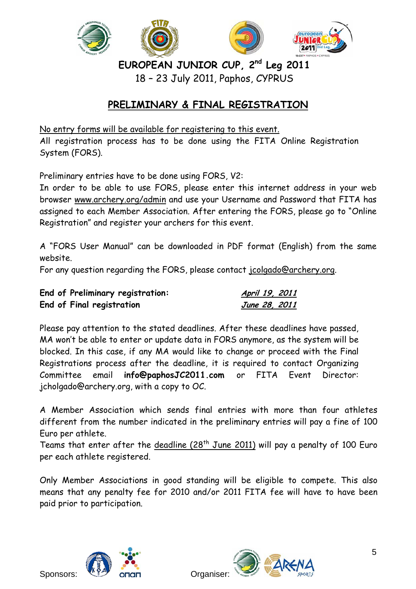

18 – 23 July 2011, Paphos, CYPRUS

# **PRELIMINARY & FINAL REGISTRATION**

No entry forms will be available for registering to this event. All registration process has to be done using the FITA Online Registration System (FORS).

Preliminary entries have to be done using FORS, V2:

In order to be able to use FORS, please enter this internet address in your web browser www.archery.org/admin and use your Username and Password that FITA has assigned to each Member Association. After entering the FORS, please go to "Online Registration" and register your archers for this event.

A "FORS User Manual" can be downloaded in PDF format (English) from the same website.

For any question regarding the FORS, please contact jcolgado@archery.org.

| End of Preliminary registration: | April 19, 2011 |  |
|----------------------------------|----------------|--|
| End of Final registration        | June 28, 2011  |  |

Please pay attention to the stated deadlines. After these deadlines have passed, MA won't be able to enter or update data in FORS anymore, as the system will be blocked. In this case, if any MA would like to change or proceed with the Final Registrations process after the deadline, it is required to contact Organizing Committee email **info@paphosJC2011.com** or FITA Event Director: jcholgado@archery.org, with a copy to OC.

A Member Association which sends final entries with more than four athletes different from the number indicated in the preliminary entries will pay a fine of 100 Euro per athlete.

Teams that enter after the deadline  $(28<sup>th</sup>$  June 2011) will pay a penalty of 100 Euro per each athlete registered.

Only Member Associations in good standing will be eligible to compete. This also means that any penalty fee for 2010 and/or 2011 FITA fee will have to have been paid prior to participation.



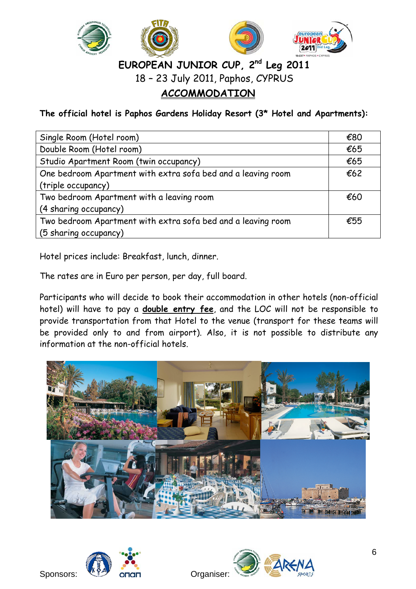

18 – 23 July 2011, Paphos, CYPRUS

# **ACCOMMODATION**

**The official hotel is Paphos Gardens Holiday Resort (3\* Hotel and Apartments):** 

| Single Room (Hotel room)                                     | €80 |  |
|--------------------------------------------------------------|-----|--|
| Double Room (Hotel room)                                     |     |  |
| Studio Apartment Room (twin occupancy)                       | €65 |  |
| One bedroom Apartment with extra sofa bed and a leaving room | €62 |  |
| (triple occupancy)                                           |     |  |
| Two bedroom Apartment with a leaving room                    |     |  |
| (4 sharing occupancy)                                        |     |  |
| Two bedroom Apartment with extra sofa bed and a leaving room |     |  |
| (5 sharing occupancy)                                        |     |  |

Hotel prices include: Breakfast, lunch, dinner.

The rates are in Euro per person, per day, full board.

Participants who will decide to book their accommodation in other hotels (non-official hotel) will have to pay a **double entry fee**, and the LOC will not be responsible to provide transportation from that Hotel to the venue (transport for these teams will be provided only to and from airport). Also, it is not possible to distribute any information at the non-official hotels.





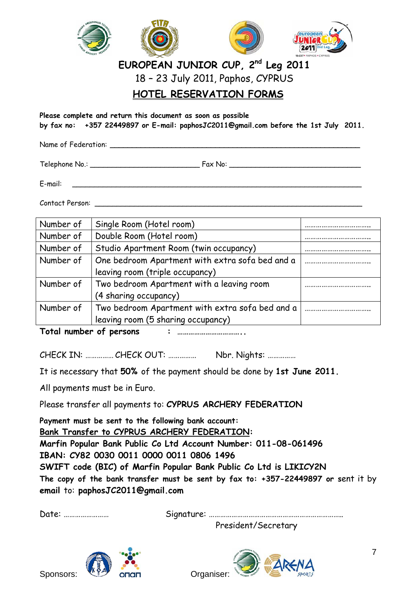

18 – 23 July 2011, Paphos, CYPRUS

# **HOTEL RESERVATION FORMS**

**Please complete and return this document as soon as possible by fax no: +357 22449897 or E-mail: paphosJC2011@gmail.com before the 1st July 2011.** 

Name of Federation: **with a set of the set of the set of the set of the set of the set of the set of the set of the set of the set of the set of the set of the set of the set of the set of the set of the set of the set of** 

Telephone No.: \_\_\_\_\_\_\_\_\_\_\_\_\_\_\_\_\_\_\_\_\_\_\_\_\_ Fax No: \_\_\_\_\_\_\_\_\_\_\_\_\_\_\_\_\_\_\_\_\_\_\_\_\_\_\_\_\_\_

 $E$ -mail:  $\Box$ 

Contact Person: \_\_\_\_\_\_\_\_\_\_\_\_\_\_\_\_\_\_\_\_\_\_\_\_\_\_\_\_\_\_\_\_\_\_\_\_\_\_\_\_\_\_\_\_\_\_\_\_\_\_\_\_\_\_\_\_\_\_\_\_\_

| Number of | Single Room (Hotel room)                        |  |
|-----------|-------------------------------------------------|--|
| Number of | Double Room (Hotel room)                        |  |
| Number of | Studio Apartment Room (twin occupancy)          |  |
| Number of | One bedroom Apartment with extra sofa bed and a |  |
|           | leaving room (triple occupancy)                 |  |
| Number of | Two bedroom Apartment with a leaving room       |  |
|           | (4 sharing occupancy)                           |  |
| Number of | Two bedroom Apartment with extra sofa bed and a |  |
|           | leaving room (5 sharing occupancy)              |  |

**Total number of persons : ……………………………..** 

CHECK IN: …………… CHECK OUT: …………… Nbr. Nights: ……………

It is necessary that **50%** of the payment should be done by **1st June 2011.**

All payments must be in Euro.

Please transfer all payments to: **CYPRUS ARCHERY FEDERATION** 

**Payment must be sent to the following bank account: Bank Transfer to CYPRUS ARCHERY FEDERATION: Marfin Popular Bank Public Co Ltd Account Number: 011-08-061496 IBAN: CY82 0030 0011 0000 0011 0806 1496 SWIFT code (BIC) of Marfin Popular Bank Public Co Ltd is LIKICY2N The copy of the bank transfer must be sent by fax to: +357-22449897 or s**ent it by **email** to: **paphosJC2011@gmail.com** 

Date: …………………… Signature: ……………………………………………………………..

President/Secretary





7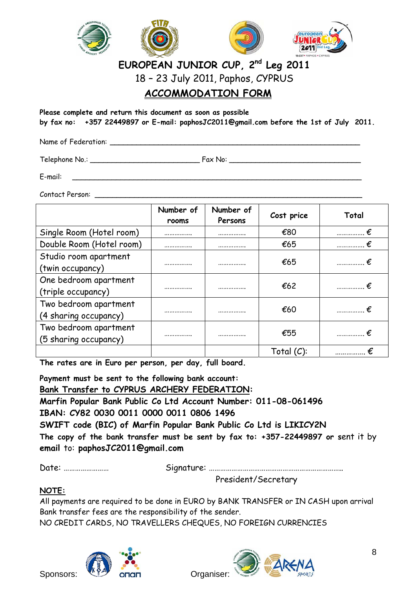

18 – 23 July 2011, Paphos, CYPRUS

# **ACCOMMODATION FORM**

**Please complete and return this document as soon as possible by fax no: +357 22449897 or E-mail: paphosJC2011@gmail.com before the 1st of July 2011.** 

Name of Federation: **\_\_\_\_\_\_\_\_\_\_\_\_\_\_\_\_\_\_\_\_\_\_\_\_\_\_\_\_\_\_\_\_\_\_\_\_\_\_\_\_\_\_\_\_\_\_\_\_\_\_\_\_\_\_\_\_\_** 

Telephone No.: \_\_\_\_\_\_\_\_\_\_\_\_\_\_\_\_\_\_\_\_\_\_\_\_\_ Fax No: \_\_\_\_\_\_\_\_\_\_\_\_\_\_\_\_\_\_\_\_\_\_\_\_\_\_\_\_\_\_

E-mail: \_\_\_\_\_\_\_\_\_\_\_\_\_\_\_\_\_\_\_\_\_\_\_\_\_\_\_\_\_\_\_\_\_\_\_\_\_\_\_\_\_\_\_\_\_\_\_\_\_\_\_\_\_\_\_\_\_\_\_\_\_\_\_\_\_\_

Contact Person:

|                                                | Number of<br>rooms | Number of<br>Persons | Cost price    | Total          |
|------------------------------------------------|--------------------|----------------------|---------------|----------------|
| Single Room (Hotel room)                       |                    |                      | €80           | €<br>          |
| Double Room (Hotel room)                       |                    |                      | €65           |                |
| Studio room apartment<br>(twin occupancy)      |                    | <b>.</b>             | €65           | $\ldots$ $\in$ |
| One bedroom apartment<br>(triple occupancy)    |                    |                      | €62           | .              |
| Two bedroom apartment<br>(4 sharing occupancy) |                    |                      | €60           |                |
| Two bedroom apartment<br>(5 sharing occupancy) |                    |                      | €55           |                |
|                                                |                    |                      | Total $(C)$ : |                |

**The rates are in Euro per person, per day, full board.** 

**Payment must be sent to the following bank account: Bank Transfer to CYPRUS ARCHERY FEDERATION: Marfin Popular Bank Public Co Ltd Account Number: 011-08-061496 IBAN: CY82 0030 0011 0000 0011 0806 1496 SWIFT code (BIC) of Marfin Popular Bank Public Co Ltd is LIKICY2N The copy of the bank transfer must be sent by fax to: +357-22449897 or s**ent it by **email** to: **paphosJC2011@gmail.com** 

Date: …………………… Signature: ……………………………………………………………..

President/Secretary

### **NOTE:**

All payments are required to be done in EURO by BANK TRANSFER or IN CASH upon arrival Bank transfer fees are the responsibility of the sender.

NO CREDIT CARDS, NO TRAVELLERS CHEQUES, NO FOREIGN CURRENCIES

Sponsors: We original organiser:

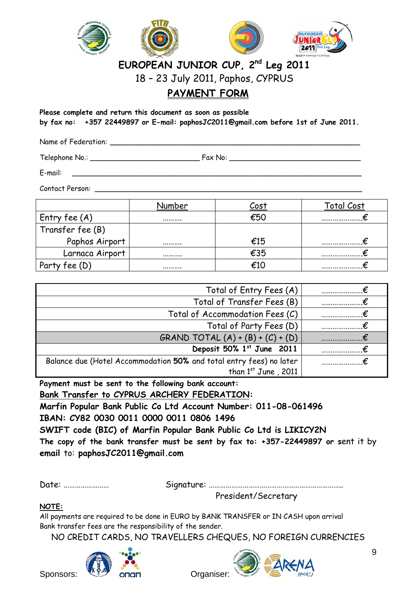

18 – 23 July 2011, Paphos, CYPRUS

# **PAYMENT FORM**

**Please complete and return this document as soon as possible by fax no: +357 22449897 or E-mail: paphosJC2011@gmail.com before 1st of June 2011.** 

Name of Federation: **With Lines and Separation** 

Telephone No.: The Fax No:  $\frac{1}{2}$ 

E-mail: \_\_\_\_\_\_\_\_\_\_\_\_\_\_\_\_\_\_\_\_\_\_\_\_\_\_\_\_\_\_\_\_\_\_\_\_\_\_\_\_\_\_\_\_\_\_\_\_\_\_\_\_\_\_\_\_\_\_\_\_\_\_\_\_\_\_

Contact Person: \_\_\_\_\_\_\_\_\_\_\_\_\_\_\_\_\_\_\_\_\_\_\_\_\_\_\_\_\_\_\_\_\_\_\_\_\_\_\_\_\_\_\_\_\_\_\_\_\_\_\_\_\_\_\_\_\_\_\_\_\_

|                                         | umber | Cost | otal Cost |
|-----------------------------------------|-------|------|-----------|
| Entry fee $(A)$                         |       | €50  |           |
| Transfer fee (B)                        |       |      |           |
| Paphos Airport                          |       | €15  |           |
| Larnaca Airport                         |       | €35  |           |
| <sup>:</sup> ee (D)<br>Par <sup>-</sup> |       |      |           |

| Total of Entry Fees (A)                                             |  |
|---------------------------------------------------------------------|--|
| Total of Transfer Fees (B)                                          |  |
| Total of Accommodation Fees (C)                                     |  |
| Total of Party Fees (D)                                             |  |
| GRAND TOTAL $(A) + (B) + (C) + (D)$                                 |  |
| Deposit 50% 1st June 2011                                           |  |
| Balance due (Hotel Accommodation 50% and total entry fees) no later |  |
| than $1^{st}$ June, 2011                                            |  |

**Payment must be sent to the following bank account:** 

**Bank Transfer to CYPRUS ARCHERY FEDERATION:** 

**Marfin Popular Bank Public Co Ltd Account Number: 011-08-061496 IBAN: CY82 0030 0011 0000 0011 0806 1496** 

**SWIFT code (BIC) of Marfin Popular Bank Public Co Ltd is LIKICY2N**

**The copy of the bank transfer must be sent by fax to: +357-22449897 or s**ent it by **email** to: **paphosJC2011@gmail.com** 

Date: …………………… Signature: ……………………………………………………………..

President/Secretary

**NOTE:** 

All payments are required to be done in EURO by BANK TRANSFER or IN CASH upon arrival Bank transfer fees are the responsibility of the sender.

NO CREDIT CARDS, NO TRAVELLERS CHEQUES, NO FOREIGN CURRENCIES



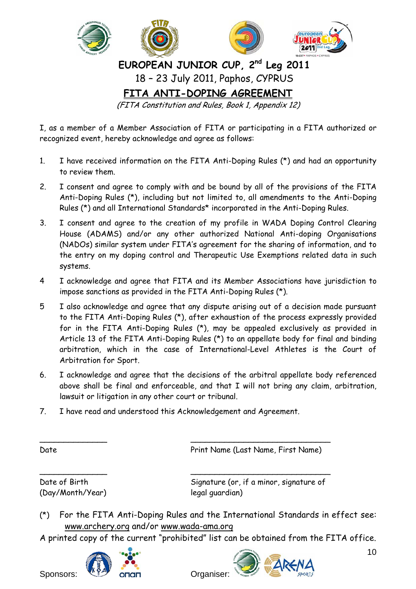

I, as a member of a Member Association of FITA or participating in a FITA authorized or recognized event, hereby acknowledge and agree as follows:

- 1. I have received information on the FITA Anti-Doping Rules (\*) and had an opportunity to review them.
- 2. I consent and agree to comply with and be bound by all of the provisions of the FITA Anti-Doping Rules (\*), including but not limited to, all amendments to the Anti-Doping Rules (\*) and all International Standards\* incorporated in the Anti-Doping Rules.
- 3. I consent and agree to the creation of my profile in WADA Doping Control Clearing House (ADAMS) and/or any other authorized National Anti-doping Organisations (NADOs) similar system under FITA's agreement for the sharing of information, and to the entry on my doping control and Therapeutic Use Exemptions related data in such systems.
- 4 I acknowledge and agree that FITA and its Member Associations have jurisdiction to impose sanctions as provided in the FITA Anti-Doping Rules (\*).
- 5 I also acknowledge and agree that any dispute arising out of a decision made pursuant to the FITA Anti-Doping Rules (\*), after exhaustion of the process expressly provided for in the FITA Anti-Doping Rules (\*), may be appealed exclusively as provided in Article 13 of the FITA Anti-Doping Rules (\*) to an appellate body for final and binding arbitration, which in the case of International-Level Athletes is the Court of Arbitration for Sport.
- 6. I acknowledge and agree that the decisions of the arbitral appellate body referenced above shall be final and enforceable, and that I will not bring any claim, arbitration, lawsuit or litigation in any other court or tribunal.
- 7. I have read and understood this Acknowledgement and Agreement.

\_\_\_\_\_\_\_\_\_\_\_\_\_\_ \_\_\_\_\_\_\_\_\_\_\_\_\_\_\_\_\_\_\_\_\_\_\_\_\_\_\_\_\_

\_\_\_\_\_\_\_\_\_\_\_\_\_\_ \_\_\_\_\_\_\_\_\_\_\_\_\_\_\_\_\_\_\_\_\_\_\_\_\_\_\_\_\_

Date **Date** Print Name (Last Name, First Name)

(Day/Month/Year) legal guardian)

Date of Birth Signature (or, if a minor, signature of

- (\*) For the FITA Anti-Doping Rules and the International Standards in effect see: www.archery.org and/or www.wada-ama.org
- A printed copy of the current "prohibited" list can be obtained from the FITA office.





10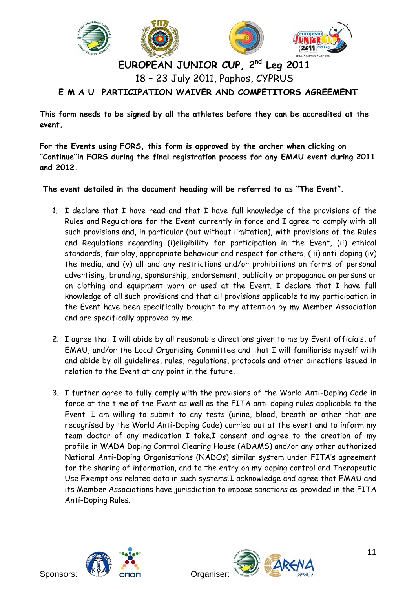

# **EUROPEAN JUNIOR CUP, 2nd Leg 2011**  18 – 23 July 2011, Paphos, CYPRUS **E M A U PARTICIPATION WAIVER AND COMPETITORS AGREEMENT**

**This form needs to be signed by all the athletes before they can be accredited at the event.** 

**For the Events using FORS, this form is approved by the archer when clicking on "Continue"in FORS during the final registration process for any EMAU event during 2011 and 2012.** 

 **The event detailed in the document heading will be referred to as "The Event".** 

- 1. I declare that I have read and that I have full knowledge of the provisions of the Rules and Regulations for the Event currently in force and I agree to comply with all such provisions and, in particular (but without limitation), with provisions of the Rules and Regulations regarding (i)eligibility for participation in the Event, (ii) ethical standards, fair play, appropriate behaviour and respect for others, (iii) anti-doping (iv) the media, and (v) all and any restrictions and/or prohibitions on forms of personal advertising, branding, sponsorship, endorsement, publicity or propaganda on persons or on clothing and equipment worn or used at the Event. I declare that I have full knowledge of all such provisions and that all provisions applicable to my participation in the Event have been specifically brought to my attention by my Member Association and are specifically approved by me.
- 2. I agree that I will abide by all reasonable directions given to me by Event officials, of EMAU, and/or the Local Organising Committee and that I will familiarise myself with and abide by all guidelines, rules, regulations, protocols and other directions issued in relation to the Event at any point in the future.
- 3. I further agree to fully comply with the provisions of the World Anti-Doping Code in force at the time of the Event as well as the FITA anti-doping rules applicable to the Event. I am willing to submit to any tests (urine, blood, breath or other that are recognised by the World Anti-Doping Code) carried out at the event and to inform my team doctor of any medication I take.I consent and agree to the creation of my profile in WADA Doping Control Clearing House (ADAMS) and/or any other authorized National Anti-Doping Organisations (NADOs) similar system under FITA's agreement for the sharing of information, and to the entry on my doping control and Therapeutic Use Exemptions related data in such systems.I acknowledge and agree that EMAU and its Member Associations have jurisdiction to impose sanctions as provided in the FITA Anti-Doping Rules.



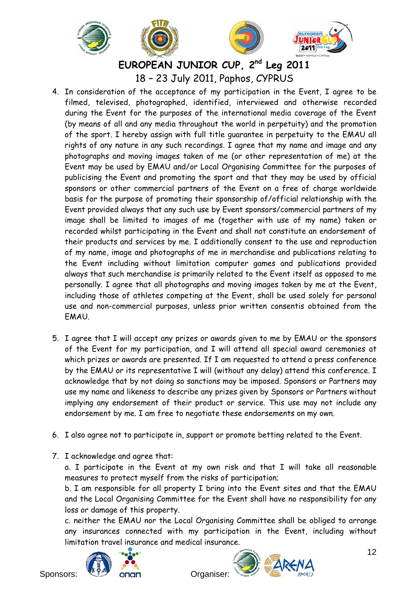

**EUROPEAN JUNIOR CUP, 2nd Leg 2011**  18 – 23 July 2011, Paphos, CYPRUS

- 4. In consideration of the acceptance of my participation in the Event, I agree to be filmed, televised, photographed, identified, interviewed and otherwise recorded during the Event for the purposes of the international media coverage of the Event (by means of all and any media throughout the world in perpetuity) and the promotion of the sport. I hereby assign with full title guarantee in perpetuity to the EMAU all rights of any nature in any such recordings. I agree that my name and image and any photographs and moving images taken of me (or other representation of me) at the Event may be used by EMAU and/or Local Organising Committee for the purposes of publicising the Event and promoting the sport and that they may be used by official sponsors or other commercial partners of the Event on a free of charge worldwide basis for the purpose of promoting their sponsorship of/official relationship with the Event provided always that any such use by Event sponsors/commercial partners of my image shall be limited to images of me (together with use of my name) taken or recorded whilst participating in the Event and shall not constitute an endorsement of their products and services by me. I additionally consent to the use and reproduction of my name, image and photographs of me in merchandise and publications relating to the Event including without limitation computer games and publications provided always that such merchandise is primarily related to the Event itself as opposed to me personally. I agree that all photographs and moving images taken by me at the Event, including those of athletes competing at the Event, shall be used solely for personal use and non-commercial purposes, unless prior written consentis obtained from the EMAU.
- 5. I agree that I will accept any prizes or awards given to me by EMAU or the sponsors of the Event for my participation, and I will attend all special award ceremonies at which prizes or awards are presented. If I am requested to attend a press conference by the EMAU or its representative I will (without any delay) attend this conference. I acknowledge that by not doing so sanctions may be imposed. Sponsors or Partners may use my name and likeness to describe any prizes given by Sponsors or Partners without implying any endorsement of their product or service. This use may not include any endorsement by me. I am free to negotiate these endorsements on my own.
- 6. I also agree not to participate in, support or promote betting related to the Event.
- 7. I acknowledge and agree that:

a. I participate in the Event at my own risk and that I will take all reasonable measures to protect myself from the risks of participation;

b. I am responsible for all property I bring into the Event sites and that the EMAU and the Local Organising Committee for the Event shall have no responsibility for any loss or damage of this property.

c. neither the EMAU nor the Local Organising Committee shall be obliged to arrange any insurances connected with my participation in the Event, including without limitation travel insurance and medical insurance.